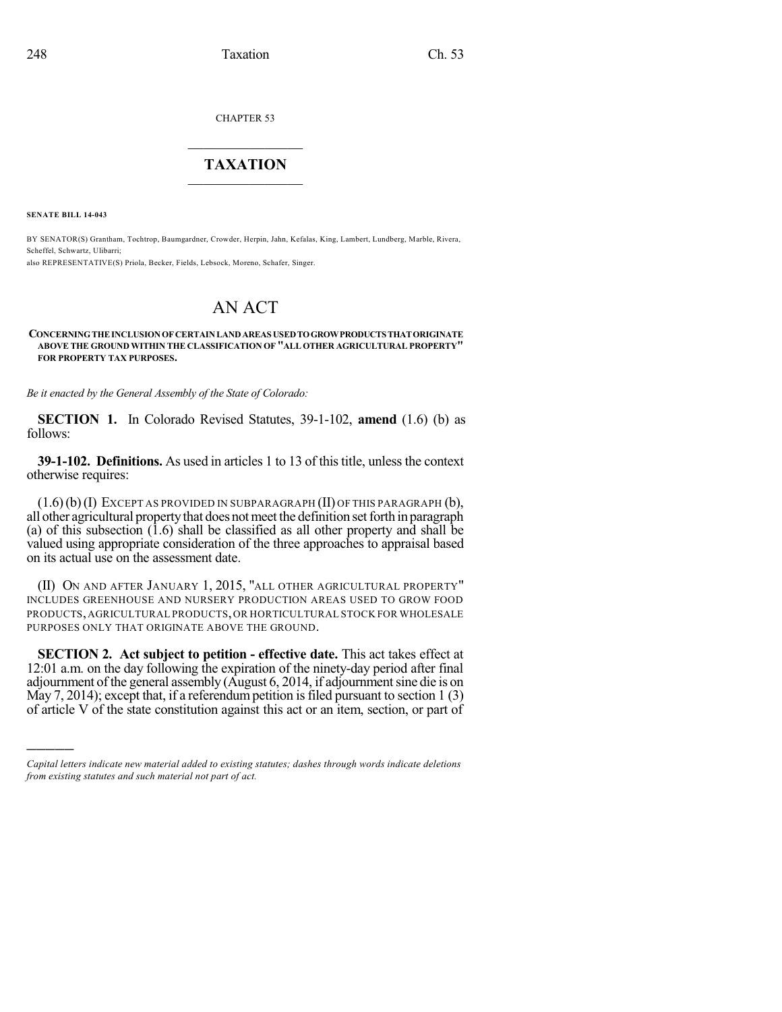CHAPTER 53

## $\overline{\phantom{a}}$  . The set of the set of the set of the set of the set of the set of the set of the set of the set of the set of the set of the set of the set of the set of the set of the set of the set of the set of the set o **TAXATION**  $\_$

**SENATE BILL 14-043**

)))))

BY SENATOR(S) Grantham, Tochtrop, Baumgardner, Crowder, Herpin, Jahn, Kefalas, King, Lambert, Lundberg, Marble, Rivera, Scheffel, Schwartz, Ulibarri;

also REPRESENTATIVE(S) Priola, Becker, Fields, Lebsock, Moreno, Schafer, Singer.

## AN ACT

## **CONCERNINGTHEINCLUSIONOFCERTAINLANDAREAS USEDTOGROWPRODUCTSTHATORIGINATE ABOVE THE GROUND WITHIN THE CLASSIFICATION OF "ALL OTHER AGRICULTURAL PROPERTY" FOR PROPERTY TAX PURPOSES.**

*Be it enacted by the General Assembly of the State of Colorado:*

**SECTION 1.** In Colorado Revised Statutes, 39-1-102, **amend** (1.6) (b) as follows:

**39-1-102. Definitions.** As used in articles 1 to 13 of this title, unless the context otherwise requires:

 $(1.6)$  (b) (I) EXCEPT AS PROVIDED IN SUBPARAGRAPH (II) OF THIS PARAGRAPH (b), all other agricultural property that does not meet the definition set forth in paragraph (a) of this subsection  $(1.6)$  shall be classified as all other property and shall be valued using appropriate consideration of the three approaches to appraisal based on its actual use on the assessment date.

(II) ON AND AFTER JANUARY 1, 2015, "ALL OTHER AGRICULTURAL PROPERTY" INCLUDES GREENHOUSE AND NURSERY PRODUCTION AREAS USED TO GROW FOOD PRODUCTS,AGRICULTURAL PRODUCTS,OR HORTICULTURAL STOCK FOR WHOLESALE PURPOSES ONLY THAT ORIGINATE ABOVE THE GROUND.

**SECTION 2. Act subject to petition - effective date.** This act takes effect at 12:01 a.m. on the day following the expiration of the ninety-day period after final adjournment of the general assembly  $(August 6, 2014, if adjourment sine die is on$ May 7, 2014); except that, if a referendum petition is filed pursuant to section  $1(3)$ of article V of the state constitution against this act or an item, section, or part of

*Capital letters indicate new material added to existing statutes; dashes through words indicate deletions from existing statutes and such material not part of act.*